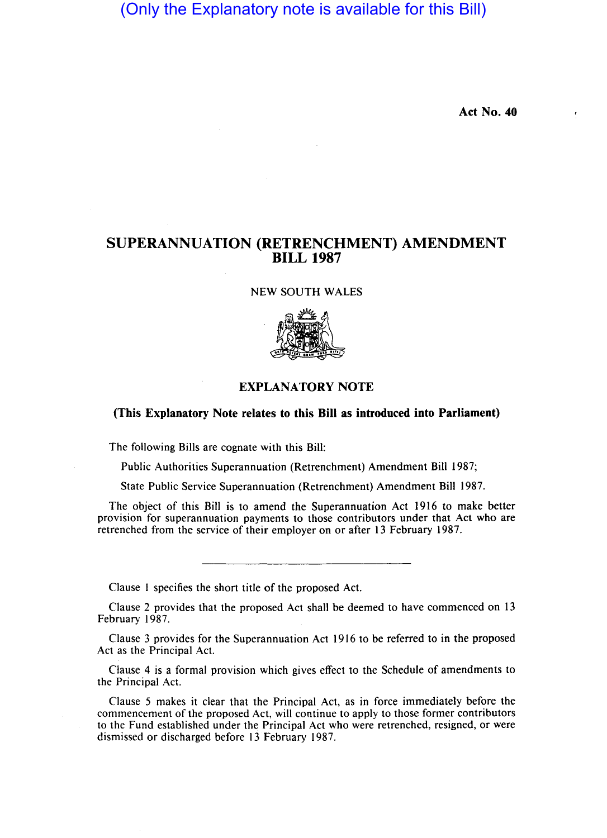# (Only the Explanatory note is available for this Bill)

Act No. 40

## SUPERANNUATION (RETRENCHMENT) AMENDMENT BILL 1987

NEW SOUTH WALES



#### EXPLANATORY NOTE

### (This Explanatory Note relates to this Bill as introduced into Parliament)

The following Bills are cognate with this Bill:

Public Authorities Superannuation (Retrenchment) Amendment Bill 1987;

State Public Service Superannuation (Retrenchment) Amendment Bill 1987.

The object of this Bill is to amend the Superannuation Act 1916 to make better provision for superannuation payments to those contributors under that Act who are retrenched from the service of their employer on or after 13 February 1987.

Clause I specifies the short title of the proposed Act.

Clause 2 provides that the proposed Act shall be deemed to have commenced on 13 February 1987.

Clause 3 provides for the Superannuation Act 1916 to be referred to in the proposed Act as the Principal Act.

Clause 4 is a formal provision which gives effect to the Schedule of amendments to the Principal Act.

Clause 5 makes it clear that the Principal Act, as in force immediately before the commencement of the proposed Act, will continue to apply to those former contributors to the Fund established under the Principal Act who were retrenched, resigned, or were dismissed or discharged before 13 February 1987.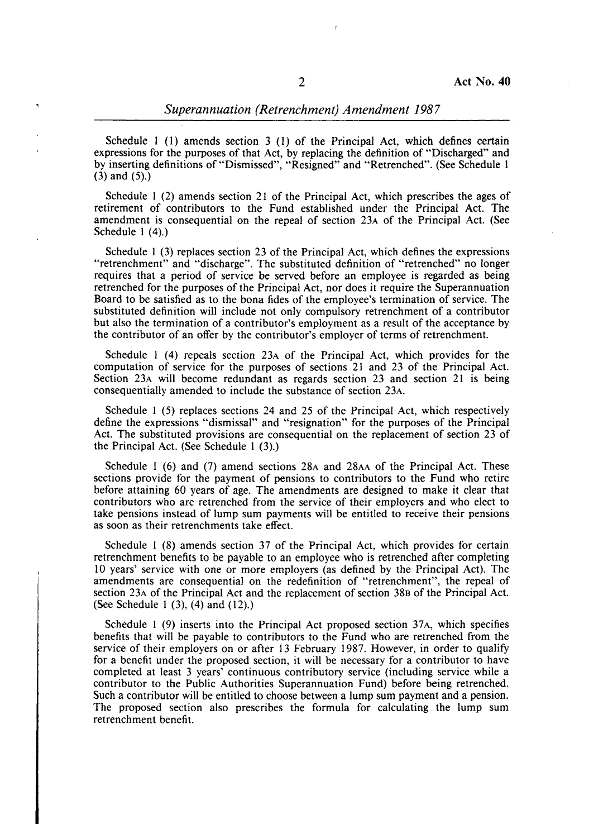Schedule I (l) amends section 3 (I) of the Principal Act, which defines certain expressions for the purposes of that Act, by replacing the definition of "Discharged" and by inserting definitions of "Dismissed", "Resigned" and "Retrenched". (See Schedule I (3) and (5).)

Schedule I (2) amends section 21 of the Principal Act, which prescribes the ages of retirement of contributors to the Fund established under the Principal Act. The amendment is consequential on the repeal of section 23A of the Principal Act. (See Schedule I (4).)

Schedule I (3) replaces section 23 of the Principal Act, which defines the expressions "retrenchment" and "discharge". The substituted definition of "retrenched" no longer requires that a period of service be served before an employee is regarded as being retrenched for the purposes of the Principal Act, nor does it require the Superannuation Board to be satisfied as to the bona fides of the employee's termination of service. The substituted definition will include not only compulsory retrenchment of a contributor but also the termination of a contributor's employment as a result of the acceptance by the contributor of an offer by the contributor's employer of terms of retrenchment.

Schedule I (4) repeals section 23A of the Principal Act, which provides for the computation of service for the purposes of sections 21 and 23 of the Principal Act. Section 23A will become redundant as regards section 23 and section 21 is being consequentially amended to include the substance of section 23A.

Schedule 1 (5) replaces sections 24 and 25 of the Principal Act, which respectively define the expressions "dismissal" and "resignation" for the purposes of the Principal Act. The substituted provisions are consequential on the replacement of section 23 of the Principal Act. (See Schedule I (3).)

Schedule I (6) and (7) amend sections 28A and 28AA of the Principal Act. These sections provide for the payment of pensions to contributors to the Fund who retire before attaining 60 years of age. The amendments are designed to make it clear that contributors who are retrenched from the service of their employers and who elect to take pensions instead of lump sum payments will be entitled to receive their pensions as soon as their retrenchments take effect.

Schedule I (8) amends section 37 of the Principal Act, which provides for certain retrenchment benefits to be payable to an employee who is retrenched after completing ID years' service with one or more employers (as defined by the Principal Act). The amendments are consequential on the redefinition of "retrenchment", the repeal of section 23A of the Principal Act and the replacement of section 38B of the Principal Act. (See Schedule I (3), (4) and (12).)

Schedule 1 (9) inserts into the Principal Act proposed section 37A, which specifies benefits that will be payable to contributors to the Fund who are retrenched from the service of their employers on or after 13 February 1987. However, in order to qualify for a benefit under the proposed section, it will be necessary for a contributor to have completed at least 3 years' continuous contributory service (including service while a contributor to the Public Authorities Superannuation Fund) before being retrenched. Such a contributor will be entitled to choose between a lump sum payment and a pension. The proposed section also prescribes the formula for calculating the lump sum retrenchment benefit.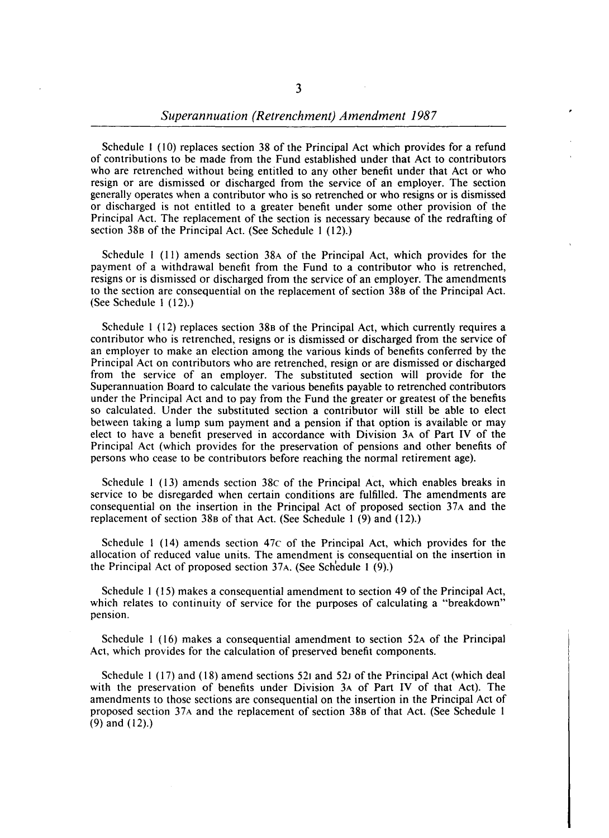Schedule I (10) replaces section 38 of the Principal Act which provides for a refund of contributions to be made from the Fund established under that Act to contributors who are retrenched without being entitled to any other benefit under that Act or who resign or are dismissed or discharged from the service of an employer. The section generally operates when a contributor who is so retrenched or who resigns or is dismissed or discharged is not entitled to a greater benefit under some other provision of the Principal Act. The replacement of the section is necessary because of the redrafting of section 38B of the Principal Act. (See Schedule I (12).)

Schedule I (11) amends section 38A of the Principal Act, which provides for the payment of a withdrawal benefit from the Fund to a contributor who is retrenched, resigns or is dismissed or discharged from the service of an employer. The amendments to the section are consequential on the replacement of section 38B of the Principal Act. (See Schedule I (12).)

Schedule 1 (12) replaces section 38B of the Principal Act, which currently requires a contributor who is retrenched, resigns or is dismissed or discharged from the service of an employer to make an election among the various kinds of benefits conferred by the Principal Act on contributors who are retrenched, resign or are dismissed or discharged from the service of an employer. The substituted section will provide for the Superannuation Board to calculate the various benefits payable to retrenched contributors under the Principal Act and to pay from the Fund the greater or greatest of the benefits so calculated. Under the substituted section a contributor will still be able to elect between taking a lump sum payment and a pension if that option is available or may elect to have a benefit preserved in accordance with Division 3A of Part IV of the Principal Act (which provides for the preservation of pensions and other benefits of persons who cease to be contributors before reaching the normal retirement age).

Schedule 1 (13) amends section 38c of the Principal Act, which enables breaks in service to be disregarded when certain conditions are fulfilled. The amendments are consequential on the insertion in the Principal Act of proposed section 37A and the replacement of section 38B of that Act. (See Schedule I (9) and (12).)

Schedule I (14) amends section 47c of the Principal Act, which provides for the allocation of reduced value units. The amendment is consequential on the insertion in the Principal Act of proposed section  $37A$ . (See Schedule 1 (9).)

Schedule I (15) makes a consequential amendment to section 49 of the Principal Act, which relates to continuity of service for the purposes of calculating a "breakdown" pension.

Schedule 1 (16) makes a consequential amendment to section 52A of the Principal Act, which provides for the calculation of preserved benefit components.

Schedule I (17) and (18) amend sections 521 and 52J of the Principal Act (which deal with the preservation of benefits under Division 3A of Part IV of that Act). The amendments to those sections are consequential on the insertion in the Principal Act of proposed section 37A and the replacement of section 38B of that Act. (See Schedule 1 (9) and (12).)